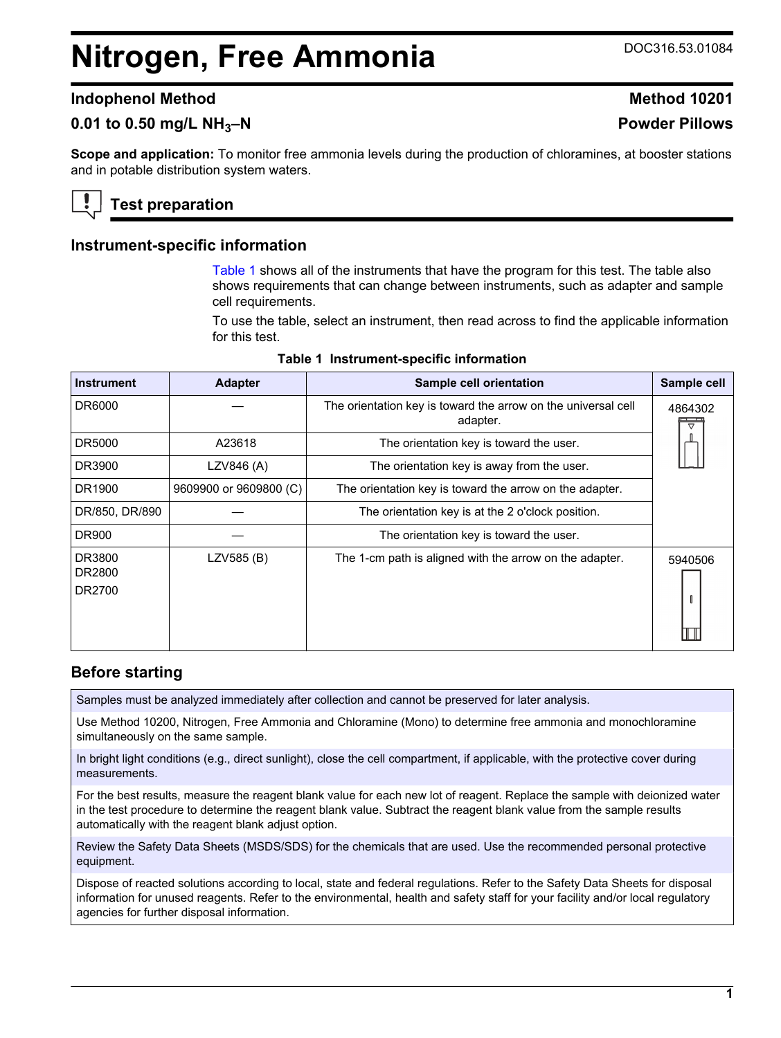# <span id="page-0-0"></span>**Nitrogen, Free Ammonia** DOC316.53.01084

#### **Indophenol Method Method 10201**

## **0.01 to 0.50 mg/L NH3–N Powder Pillows**

**Scope and application:** To monitor free ammonia levels during the production of chloramines, at booster stations and in potable distribution system waters.

## **Test preparation**

#### **Instrument-specific information**

Table 1 shows all of the instruments that have the program for this test. The table also shows requirements that can change between instruments, such as adapter and sample cell requirements.

To use the table, select an instrument, then read across to find the applicable information for this test.

| <b>Instrument</b>          | <b>Adapter</b>         | Sample cell orientation                                                   | Sample cell |
|----------------------------|------------------------|---------------------------------------------------------------------------|-------------|
| DR6000                     |                        | The orientation key is toward the arrow on the universal cell<br>adapter. | 4864302     |
| DR5000                     | A23618                 | The orientation key is toward the user.                                   |             |
| DR3900                     | LZV846 (A)             | The orientation key is away from the user.                                |             |
| DR1900                     | 9609900 or 9609800 (C) | The orientation key is toward the arrow on the adapter.                   |             |
| DR/850, DR/890             |                        | The orientation key is at the 2 o'clock position.                         |             |
| <b>DR900</b>               |                        | The orientation key is toward the user.                                   |             |
| DR3800<br>DR2800<br>DR2700 | LZV585 (B)             | The 1-cm path is aligned with the arrow on the adapter.                   | 5940506     |

#### **Table 1 Instrument-specific information**

#### **Before starting**

Samples must be analyzed immediately after collection and cannot be preserved for later analysis.

Use Method 10200, Nitrogen, Free Ammonia and Chloramine (Mono) to determine free ammonia and monochloramine simultaneously on the same sample.

In bright light conditions (e.g., direct sunlight), close the cell compartment, if applicable, with the protective cover during measurements.

For the best results, measure the reagent blank value for each new lot of reagent. Replace the sample with deionized water in the test procedure to determine the reagent blank value. Subtract the reagent blank value from the sample results automatically with the reagent blank adjust option.

Review the Safety Data Sheets (MSDS/SDS) for the chemicals that are used. Use the recommended personal protective equipment.

Dispose of reacted solutions according to local, state and federal regulations. Refer to the Safety Data Sheets for disposal information for unused reagents. Refer to the environmental, health and safety staff for your facility and/or local regulatory agencies for further disposal information.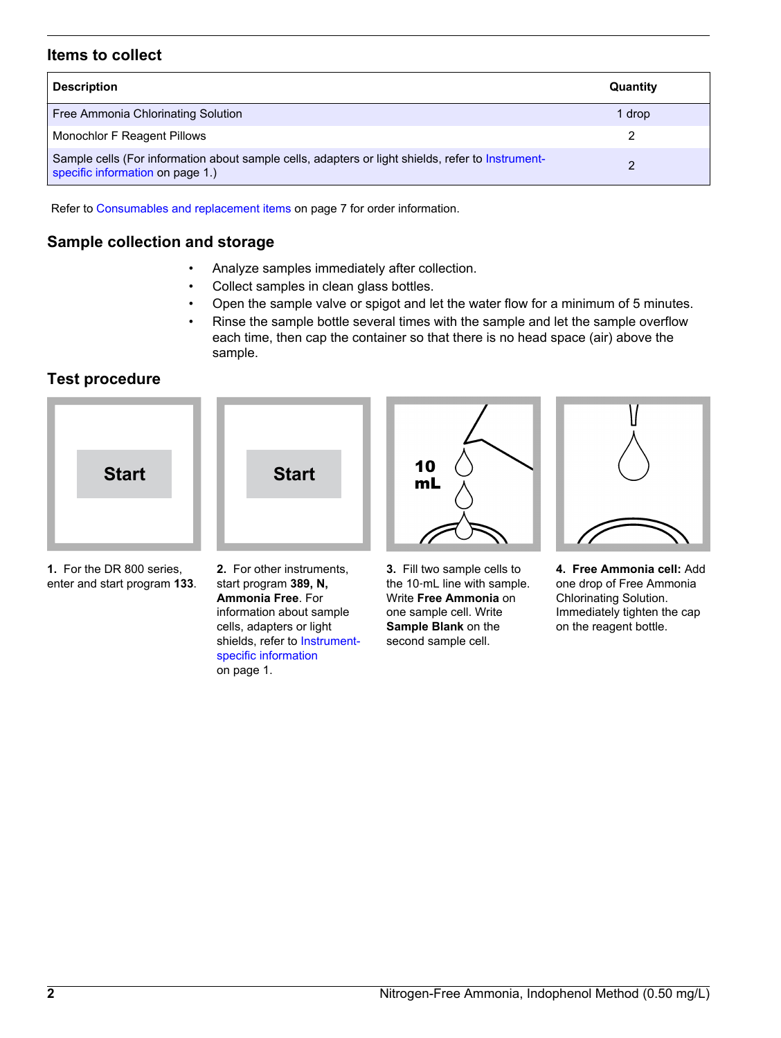## **Items to collect**

| <b>Description</b>                                                                                                                    | Quantity |
|---------------------------------------------------------------------------------------------------------------------------------------|----------|
| Free Ammonia Chlorinating Solution                                                                                                    | 1 drop   |
| Monochlor F Reagent Pillows                                                                                                           |          |
| Sample cells (For information about sample cells, adapters or light shields, refer to Instrument-<br>specific information on page 1.) |          |

Refer to [Consumables and replacement items](#page-6-0) on page 7 for order information.

### **Sample collection and storage**

- Analyze samples immediately after collection.
- Collect samples in clean glass bottles.
- Open the sample valve or spigot and let the water flow for a minimum of 5 minutes.
- Rinse the sample bottle several times with the sample and let the sample overflow each time, then cap the container so that there is no head space (air) above the sample.

## **Test procedure**



**1.** For the DR 800 series, enter and start program **133**. **2.** For other instruments, start program **389, N, Ammonia Free**. For information about sample cells, adapters or light shields, refer to [Instrument](#page-0-0)[specific information](#page-0-0) on page 1.

**3.** Fill two sample cells to the 10‑mL line with sample. Write **Free Ammonia** on one sample cell. Write **Sample Blank** on the second sample cell.

**4. Free Ammonia cell:** Add one drop of Free Ammonia Chlorinating Solution. Immediately tighten the cap on the reagent bottle.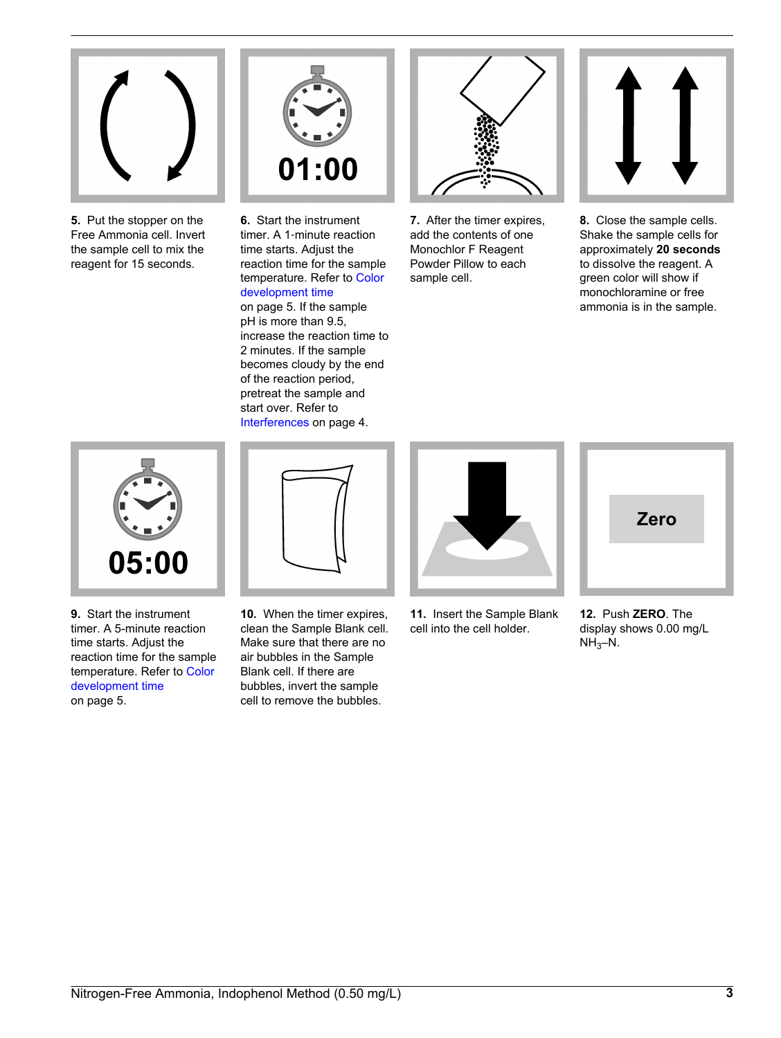

**5.** Put the stopper on the Free Ammonia cell. Invert the sample cell to mix the reagent for 15 seconds.



**6.** Start the instrument timer. A 1‑minute reaction time starts. Adjust the reaction time for the sample temperature. Refer to [Color](#page-4-0) [development time](#page-4-0) on page 5. If the sample pH is more than 9.5, increase the reaction time to 2 minutes. If the sample becomes cloudy by the end of the reaction period, pretreat the sample and start over. Refer to [Interferences](#page-3-0) on page 4.



**7.** After the timer expires, add the contents of one Monochlor F Reagent Powder Pillow to each sample cell.



**8.** Close the sample cells. Shake the sample cells for approximately **20 seconds** to dissolve the reagent. A green color will show if monochloramine or free ammonia is in the sample.





**9.** Start the instrument timer. A 5-minute reaction time starts. Adjust the reaction time for the sample temperature. Refer to [Color](#page-4-0) [development time](#page-4-0) on page 5.

**10.** When the timer expires, clean the Sample Blank cell. Make sure that there are no air bubbles in the Sample Blank cell. If there are bubbles, invert the sample cell to remove the bubbles.



**11.** Insert the Sample Blank cell into the cell holder.



**12.** Push **ZERO**. The display shows 0.00 mg/L  $NH<sub>3</sub>-N.$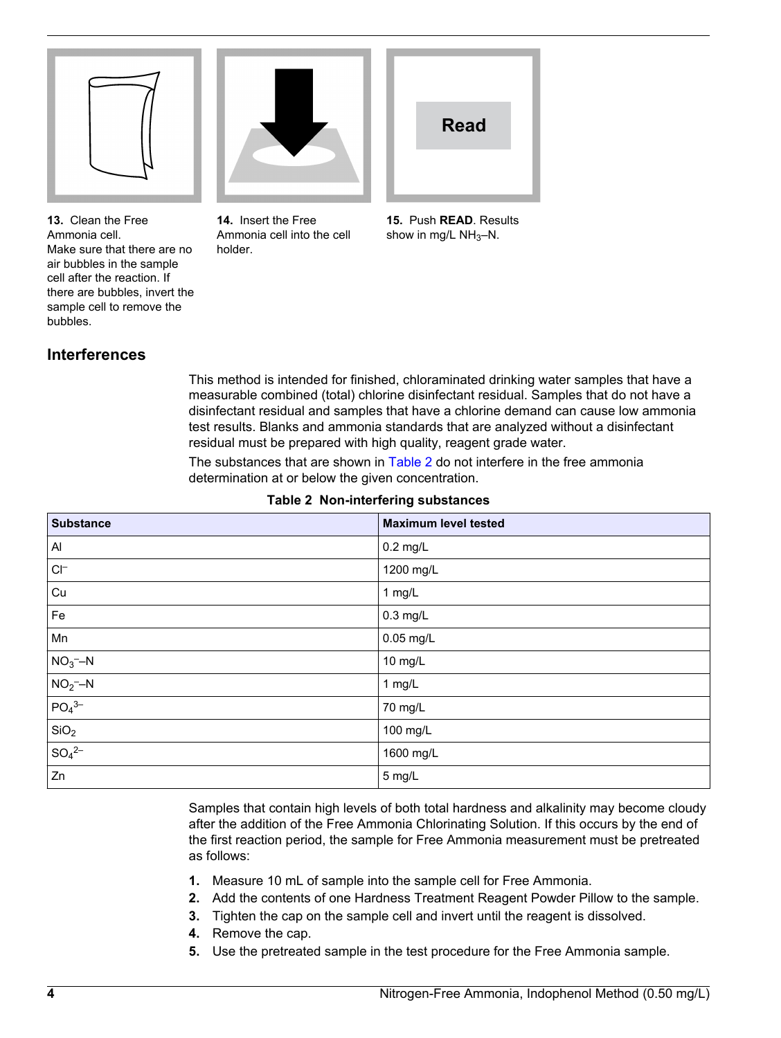<span id="page-3-0"></span>

**13.** Clean the Free Ammonia cell. Make sure that there are no air bubbles in the sample cell after the reaction. If there are bubbles, invert the sample cell to remove the bubbles.

**14.** Insert the Free Ammonia cell into the cell

holder.

**Read**

**15.** Push **READ**. Results show in mg/L  $NH<sub>3</sub>-N$ .

### **Interferences**

This method is intended for finished, chloraminated drinking water samples that have a measurable combined (total) chlorine disinfectant residual. Samples that do not have a disinfectant residual and samples that have a chlorine demand can cause low ammonia test results. Blanks and ammonia standards that are analyzed without a disinfectant residual must be prepared with high quality, reagent grade water.

The substances that are shown in Table 2 do not interfere in the free ammonia determination at or below the given concentration.

| <b>Substance</b>            | <b>Maximum level tested</b> |
|-----------------------------|-----------------------------|
| Al                          | $0.2$ mg/L                  |
| $\mathsf{C}\mathsf{I}^-$    | 1200 mg/L                   |
| Cu                          | 1 mg/L                      |
| Fe                          | $0.3$ mg/L                  |
| Mn                          | 0.05 mg/L                   |
| $NO3$ -N                    | 10 mg/L                     |
| $NO2$ -N                    | 1 mg/L                      |
| $PO43-$                     | 70 mg/L                     |
| SiO <sub>2</sub>            | 100 mg/L                    |
| $\sqrt{\text{SO}_4{}^{2-}}$ | 1600 mg/L                   |
| Zn                          | 5 mg/L                      |

#### **Table 2 Non-interfering substances**

Samples that contain high levels of both total hardness and alkalinity may become cloudy after the addition of the Free Ammonia Chlorinating Solution. If this occurs by the end of the first reaction period, the sample for Free Ammonia measurement must be pretreated as follows:

- **1.** Measure 10 mL of sample into the sample cell for Free Ammonia.
- **2.** Add the contents of one Hardness Treatment Reagent Powder Pillow to the sample.
- **3.** Tighten the cap on the sample cell and invert until the reagent is dissolved.
- **4.** Remove the cap.
- **5.** Use the pretreated sample in the test procedure for the Free Ammonia sample.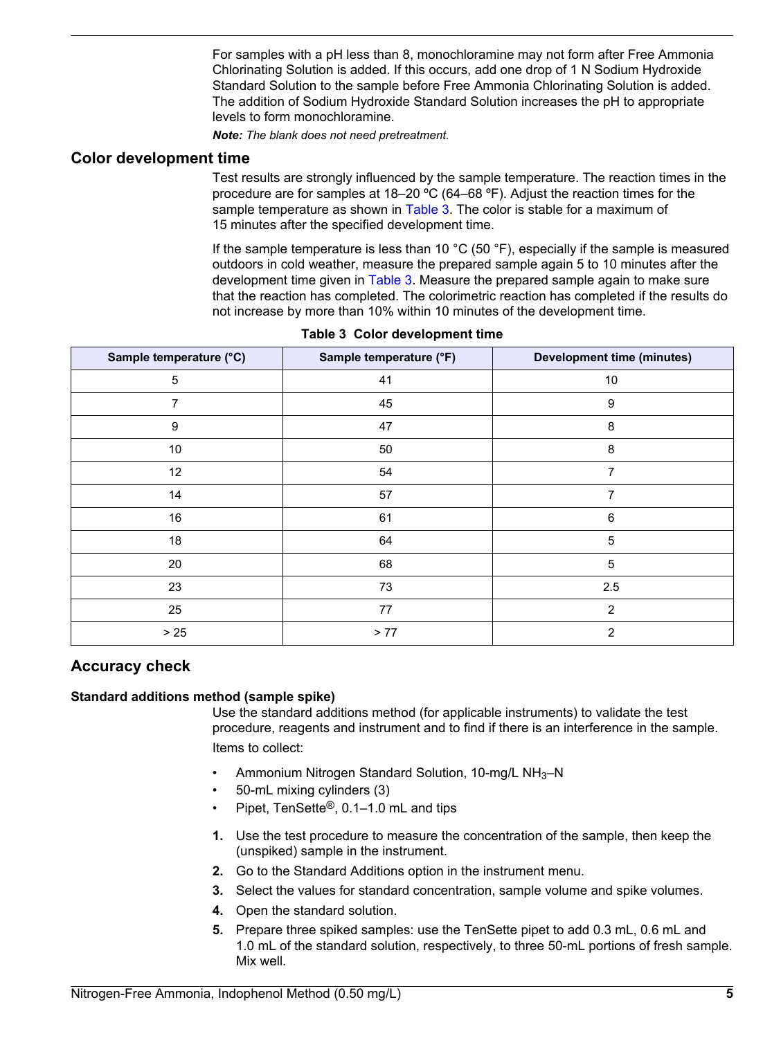For samples with a pH less than 8, monochloramine may not form after Free Ammonia Chlorinating Solution is added. If this occurs, add one drop of 1 N Sodium Hydroxide Standard Solution to the sample before Free Ammonia Chlorinating Solution is added. The addition of Sodium Hydroxide Standard Solution increases the pH to appropriate levels to form monochloramine.

*Note: The blank does not need pretreatment.*

#### <span id="page-4-0"></span>**Color development time**

Test results are strongly influenced by the sample temperature. The reaction times in the procedure are for samples at 18–20 ºC (64–68 ºF). Adjust the reaction times for the sample temperature as shown in Table 3. The color is stable for a maximum of 15 minutes after the specified development time.

If the sample temperature is less than 10 °C (50 °F), especially if the sample is measured outdoors in cold weather, measure the prepared sample again 5 to 10 minutes after the development time given in Table 3. Measure the prepared sample again to make sure that the reaction has completed. The colorimetric reaction has completed if the results do not increase by more than 10% within 10 minutes of the development time.

| Sample temperature (°C) | Sample temperature (°F) | <b>Development time (minutes)</b> |
|-------------------------|-------------------------|-----------------------------------|
| 5                       | 41                      | 10                                |
| 7                       | 45                      | 9                                 |
| 9                       | 47                      | 8                                 |
| 10                      | 50                      | 8                                 |
| 12                      | 54                      | $\overline{7}$                    |
| 14                      | 57                      | 7                                 |
| 16                      | 61                      | 6                                 |
| 18                      | 64                      | $\sqrt{5}$                        |
| 20                      | 68                      | $\sqrt{5}$                        |
| 23                      | 73                      | 2.5                               |
| 25                      | 77                      | $\overline{2}$                    |
| $>25$                   | > 77                    | $\overline{2}$                    |

| Table 3 Color development time |  |  |
|--------------------------------|--|--|
|                                |  |  |

## **Accuracy check**

#### **Standard additions method (sample spike)**

Use the standard additions method (for applicable instruments) to validate the test procedure, reagents and instrument and to find if there is an interference in the sample. Items to collect:

- Ammonium Nitrogen Standard Solution, 10-mg/L NH3–N
- 50-mL mixing cylinders (3)
- Pipet, TenSette®, 0.1–1.0 mL and tips
- **1.** Use the test procedure to measure the concentration of the sample, then keep the (unspiked) sample in the instrument.
- **2.** Go to the Standard Additions option in the instrument menu.
- **3.** Select the values for standard concentration, sample volume and spike volumes.
- **4.** Open the standard solution.
- **5.** Prepare three spiked samples: use the TenSette pipet to add 0.3 mL, 0.6 mL and 1.0 mL of the standard solution, respectively, to three 50-mL portions of fresh sample. Mix well.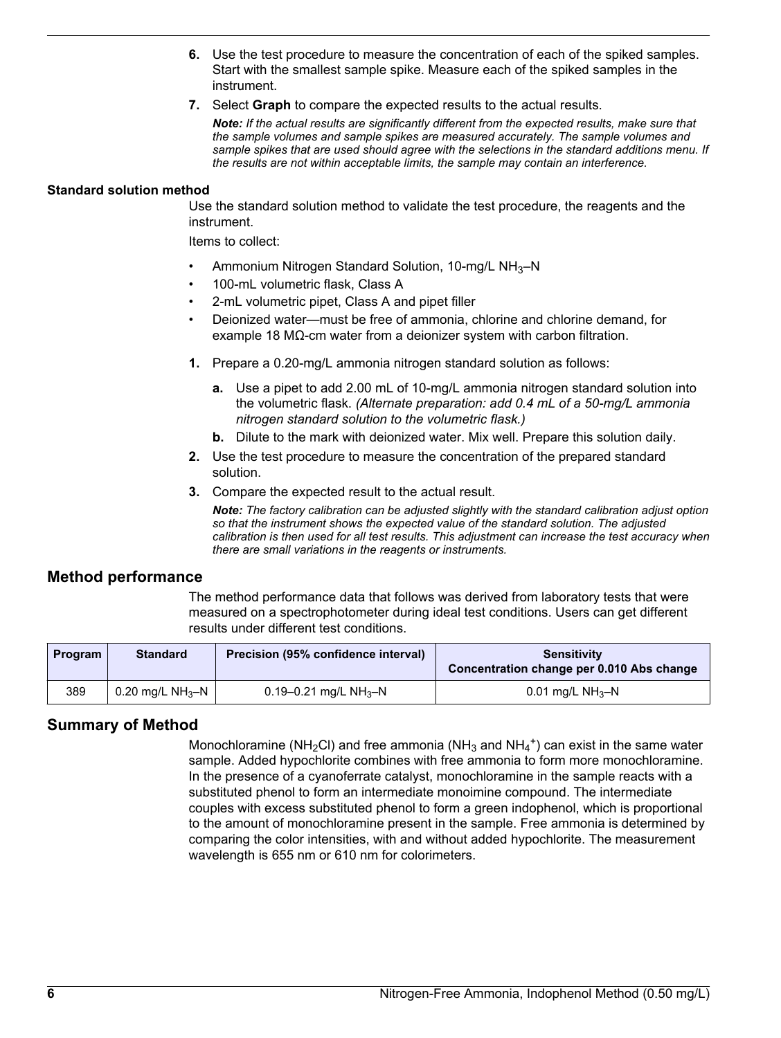- **6.** Use the test procedure to measure the concentration of each of the spiked samples. Start with the smallest sample spike. Measure each of the spiked samples in the instrument.
- **7.** Select **Graph** to compare the expected results to the actual results.

*Note: If the actual results are significantly different from the expected results, make sure that the sample volumes and sample spikes are measured accurately. The sample volumes and sample spikes that are used should agree with the selections in the standard additions menu. If the results are not within acceptable limits, the sample may contain an interference.*

#### **Standard solution method**

Use the standard solution method to validate the test procedure, the reagents and the instrument.

Items to collect:

- Ammonium Nitrogen Standard Solution, 10-mg/L NH3–N
- 100-mL volumetric flask, Class A
- 2-mL volumetric pipet, Class A and pipet filler
- Deionized water—must be free of ammonia, chlorine and chlorine demand, for example 18 MΩ-cm water from a deionizer system with carbon filtration.
- **1.** Prepare a 0.20-mg/L ammonia nitrogen standard solution as follows:
	- **a.** Use a pipet to add 2.00 mL of 10-mg/L ammonia nitrogen standard solution into the volumetric flask. *(Alternate preparation: add 0.4 mL of a 50-mg/L ammonia nitrogen standard solution to the volumetric flask.)*
	- **b.** Dilute to the mark with deionized water. Mix well. Prepare this solution daily.
- **2.** Use the test procedure to measure the concentration of the prepared standard solution.
- **3.** Compare the expected result to the actual result.

*Note: The factory calibration can be adjusted slightly with the standard calibration adjust option so that the instrument shows the expected value of the standard solution. The adjusted calibration is then used for all test results. This adjustment can increase the test accuracy when there are small variations in the reagents or instruments.*

#### **Method performance**

The method performance data that follows was derived from laboratory tests that were measured on a spectrophotometer during ideal test conditions. Users can get different results under different test conditions.

| <b>Program</b> | <b>Standard</b>              | Precision (95% confidence interval) | <b>Sensitivity</b><br>Concentration change per 0.010 Abs change |
|----------------|------------------------------|-------------------------------------|-----------------------------------------------------------------|
| 389            | 0.20 mg/L NH <sub>3</sub> -N | 0.19–0.21 mg/L NH <sub>3</sub> –N   | 0.01 mg/L NH <sub>3</sub> -N                                    |

#### **Summary of Method**

Monochloramine (NH<sub>2</sub>Cl) and free ammonia (NH<sub>3</sub> and NH<sub>4</sub><sup>+</sup>) can exist in the same water sample. Added hypochlorite combines with free ammonia to form more monochloramine. In the presence of a cyanoferrate catalyst, monochloramine in the sample reacts with a substituted phenol to form an intermediate monoimine compound. The intermediate couples with excess substituted phenol to form a green indophenol, which is proportional to the amount of monochloramine present in the sample. Free ammonia is determined by comparing the color intensities, with and without added hypochlorite. The measurement wavelength is 655 nm or 610 nm for colorimeters.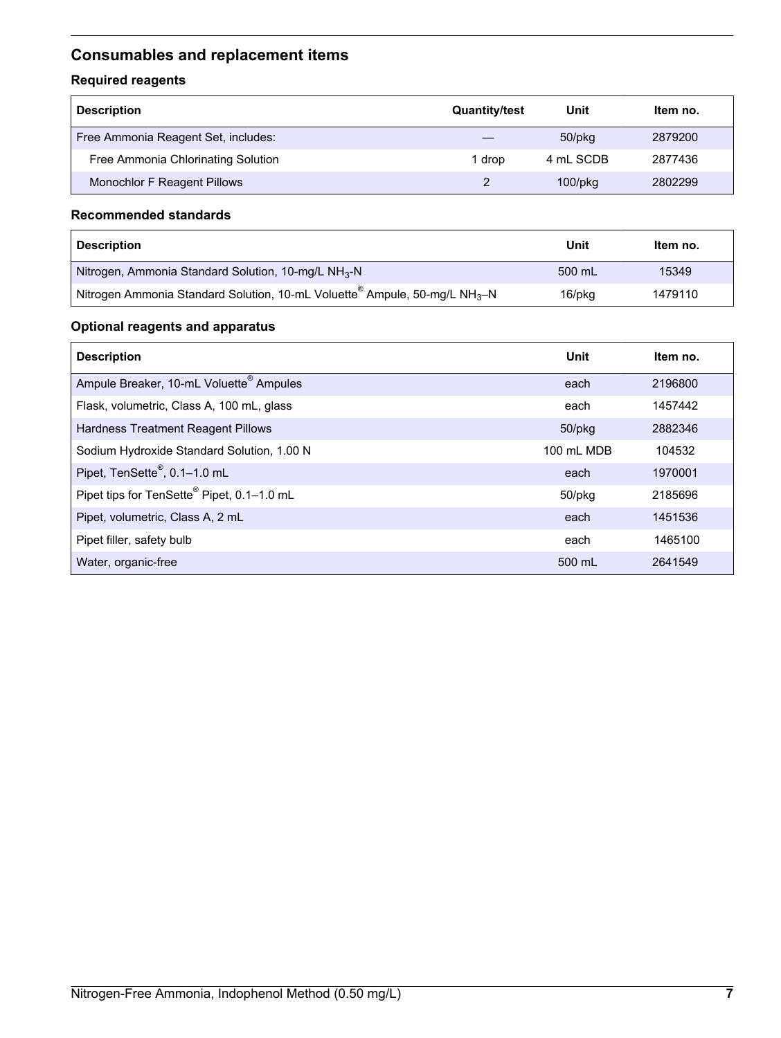# <span id="page-6-0"></span>**Consumables and replacement items**

## **Required reagents**

| <b>Description</b>                  | <b>Quantity/test</b> | Unit          | Item no. |
|-------------------------------------|----------------------|---------------|----------|
| Free Ammonia Reagent Set, includes: |                      | $50$ /p $kg$  | 2879200  |
| Free Ammonia Chlorinating Solution  | 1 drop               | 4 mL SCDB     | 2877436  |
| Monochlor F Reagent Pillows         |                      | $100$ /p $kg$ | 2802299  |

#### **Recommended standards**

| <b>Description</b>                                                                     | Unit   | Item no. |
|----------------------------------------------------------------------------------------|--------|----------|
| Nitrogen, Ammonia Standard Solution, 10-mg/L $NH3$ -N                                  | 500 mL | 15349    |
| Nitrogen Ammonia Standard Solution, 10-mL Voluette® Ampule, 50-mg/L NH <sub>3</sub> -N | 16/pkg | 1479110  |

### **Optional reagents and apparatus**

| <b>Description</b>                                  | Unit       | Item no. |
|-----------------------------------------------------|------------|----------|
| Ampule Breaker, 10-mL Voluette <sup>®</sup> Ampules | each       | 2196800  |
| Flask, volumetric, Class A, 100 mL, glass           | each       | 1457442  |
| Hardness Treatment Reagent Pillows                  | 50/pkg     | 2882346  |
| Sodium Hydroxide Standard Solution, 1.00 N          | 100 mL MDB | 104532   |
| Pipet, TenSette <sup>®</sup> , 0.1-1.0 mL           | each       | 1970001  |
| Pipet tips for TenSette® Pipet, 0.1-1.0 mL          | 50/pkg     | 2185696  |
| Pipet, volumetric, Class A, 2 mL                    | each       | 1451536  |
| Pipet filler, safety bulb                           | each       | 1465100  |
| Water, organic-free                                 | 500 mL     | 2641549  |